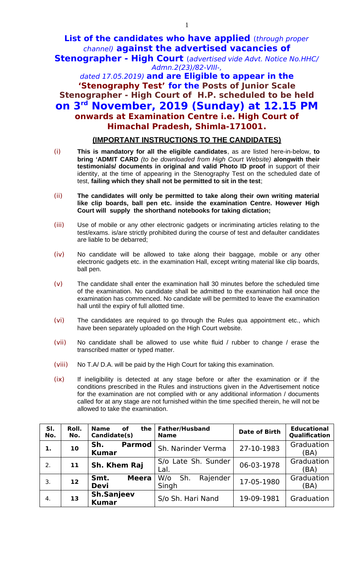## **List of the candidates who have applied** (through proper channel) **against the advertised vacancies of Stenographer - High Court** (advertised vide Advt. Notice No.HHC/

Admn.2(23)/82-VIII-, dated 17.05.2019) **and are Eligible to appear in the 'Stenography Test' for the Posts of Junior Scale Stenographer - High Court of H.P. scheduled to be held on 3rd November, 2019 (Sunday) at 12.15 PM onwards at Examination Centre i.e. High Court of Himachal Pradesh, Shimla-171001.**

## **(IMPORTANT INSTRUCTIONS TO THE CANDIDATES)**

- (i) **This is mandatory for all the eligible candidates**, as are listed here-in-below, **to bring 'ADMIT CARD** *(to be downloaded from High Court Website)* **alongwith their testimonials/ documents in original and valid Photo ID proof** in support of their identity, at the time of appearing in the Stenography Test on the scheduled date of test, **failing which they shall not be permitted to sit in the test**;
- (ii) **The candidates will only be permitted to take along their own writing material like clip boards, ball pen etc. inside the examination Centre. However High Court will supply the shorthand notebooks for taking dictation;**
- (iii) Use of mobile or any other electronic gadgets or incriminating articles relating to the test/exams. is/are strictly prohibited during the course of test and defaulter candidates are liable to be debarred;
- (iv) No candidate will be allowed to take along their baggage, mobile or any other electronic gadgets etc. in the examination Hall, except writing material like clip boards, ball pen.
- (v) The candidate shall enter the examination hall 30 minutes before the scheduled time of the examination. No candidate shall be admitted to the examination hall once the examination has commenced. No candidate will be permitted to leave the examination hall until the expiry of full allotted time.
- (vi) The candidates are required to go through the Rules qua appointment etc., which have been separately uploaded on the High Court website.
- (vii) No candidate shall be allowed to use white fluid / rubber to change / erase the transcribed matter or typed matter.
- (viii) No T.A/ D.A. will be paid by the High Court for taking this examination.
- (ix) If ineligibility is detected at any stage before or after the examination or if the conditions prescribed in the Rules and instructions given in the Advertisement notice for the examination are not complied with or any additional information / documents called for at any stage are not furnished within the time specified therein, he will not be allowed to take the examination.

| SI.<br>No. | Roll.<br>No. | <b>Name</b><br>the<br>οf<br>Candidate(s) | <b>Father/Husband</b><br><b>Name</b> | <b>Date of Birth</b> | <b>Educational</b><br>Qualification |
|------------|--------------|------------------------------------------|--------------------------------------|----------------------|-------------------------------------|
| 1.         | 10           | Sh.<br><b>Parmod</b><br><b>Kumar</b>     | Sh. Narinder Verma                   | 27-10-1983           | Graduation<br>(BA)                  |
| 2.         | 11           | Sh. Khem Raj                             | S/o Late Sh. Sunder<br>Lal.          | 06-03-1978           | Graduation<br>(BA)                  |
| 3.         | 12           | <b>Meera</b><br>Smt.<br><b>Devi</b>      | Sh.<br>Rajender<br>W/o<br>Singh      | 17-05-1980           | Graduation<br>(BA)                  |
| 4.         | 13           | <b>Sh.Sanjeev</b><br><b>Kumar</b>        | S/o Sh. Hari Nand                    | 19-09-1981           | Graduation                          |